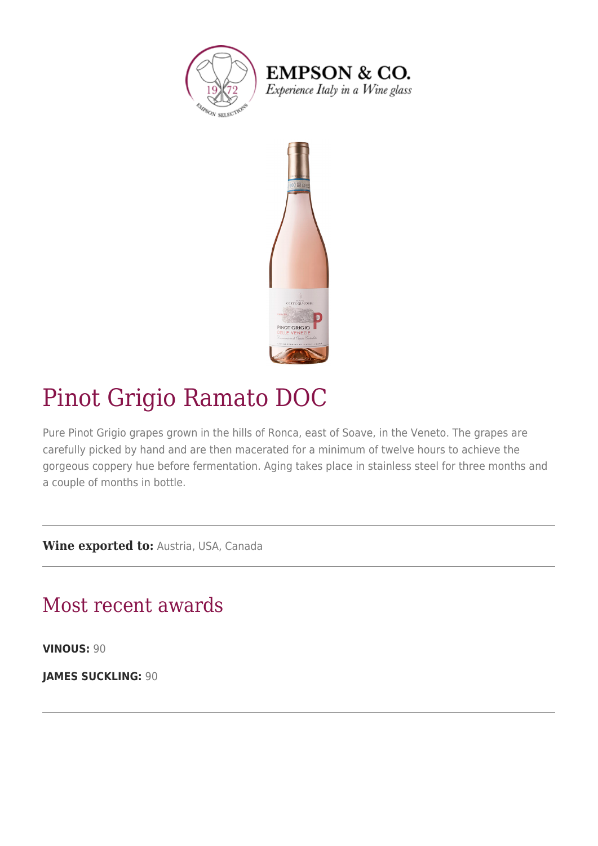

**EMPSON & CO.** Experience Italy in a Wine glass



## Pinot Grigio Ramato DOC

Pure Pinot Grigio grapes grown in the hills of Ronca, east of Soave, in the Veneto. The grapes are carefully picked by hand and are then macerated for a minimum of twelve hours to achieve the gorgeous coppery hue before fermentation. Aging takes place in stainless steel for three months and a couple of months in bottle.

**Wine exported to:** Austria, USA, Canada

## Most recent awards

**VINOUS:** 90

**JAMES SUCKLING:** 90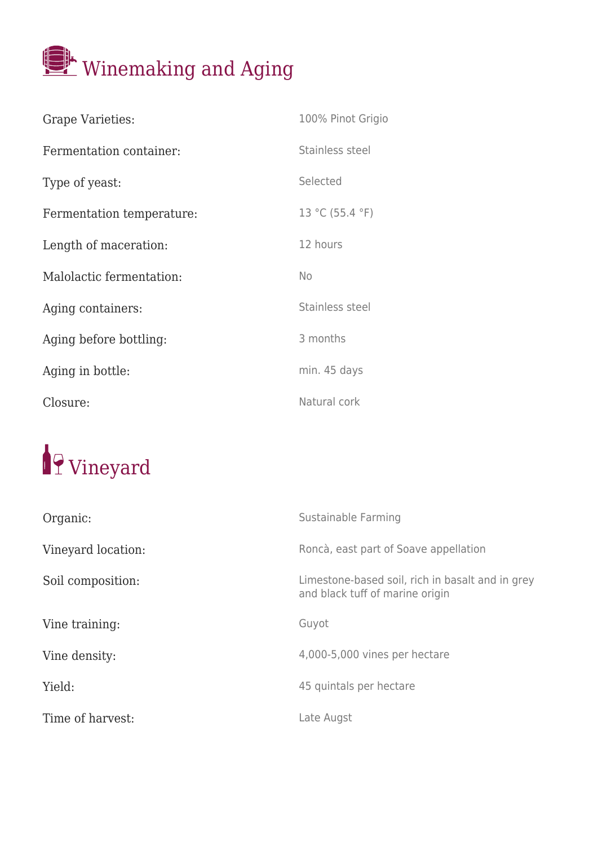

| <b>Grape Varieties:</b>   | 100% Pinot Grigio |
|---------------------------|-------------------|
| Fermentation container:   | Stainless steel   |
| Type of yeast:            | Selected          |
| Fermentation temperature: | 13 °C (55.4 °F)   |
| Length of maceration:     | 12 hours          |
| Malolactic fermentation:  | <b>No</b>         |
| Aging containers:         | Stainless steel   |
| Aging before bottling:    | 3 months          |
| Aging in bottle:          | min. 45 days      |
| Closure:                  | Natural cork      |

## <sup>1</sup>9 Vineyard

| Organic:           | Sustainable Farming                                                                 |
|--------------------|-------------------------------------------------------------------------------------|
| Vineyard location: | Roncà, east part of Soave appellation                                               |
| Soil composition:  | Limestone-based soil, rich in basalt and in grey<br>and black tuff of marine origin |
| Vine training:     | Guyot                                                                               |
| Vine density:      | 4,000-5,000 vines per hectare                                                       |
| Yield:             | 45 quintals per hectare                                                             |
| Time of harvest:   | Late Augst                                                                          |